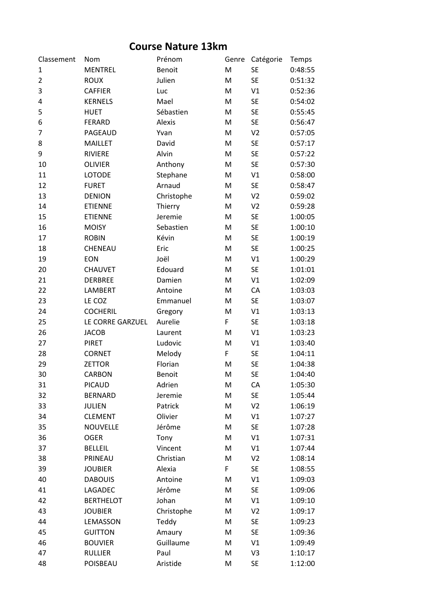## **Course Nature 13km**

| Classement     | Nom              | Prénom        | Genre | Catégorie      | Temps   |
|----------------|------------------|---------------|-------|----------------|---------|
| $\mathbf{1}$   | <b>MENTREL</b>   | <b>Benoit</b> | M     | <b>SE</b>      | 0:48:55 |
| $\overline{2}$ | <b>ROUX</b>      | Julien        | M     | <b>SE</b>      | 0:51:32 |
| 3              | <b>CAFFIER</b>   | Luc           | M     | V1             | 0:52:36 |
| 4              | <b>KERNELS</b>   | Mael          | M     | <b>SE</b>      | 0:54:02 |
| 5              | <b>HUET</b>      | Sébastien     | M     | <b>SE</b>      | 0:55:45 |
| 6              | <b>FERARD</b>    | Alexis        | M     | <b>SE</b>      | 0:56:47 |
| 7              | PAGEAUD          | Yvan          | M     | V <sub>2</sub> | 0:57:05 |
| 8              | <b>MAILLET</b>   | David         | M     | <b>SE</b>      | 0:57:17 |
| 9              | <b>RIVIERE</b>   | Alvin         | M     | <b>SE</b>      | 0:57:22 |
| 10             | <b>OLIVIER</b>   | Anthony       | M     | <b>SE</b>      | 0:57:30 |
| 11             | LOTODE           | Stephane      | M     | V1             | 0:58:00 |
| 12             | <b>FURET</b>     | Arnaud        | M     | <b>SE</b>      | 0:58:47 |
| 13             | <b>DENION</b>    | Christophe    | M     | V <sub>2</sub> | 0:59:02 |
| 14             | <b>ETIENNE</b>   | Thierry       | M     | V <sub>2</sub> | 0:59:28 |
| 15             | <b>ETIENNE</b>   | Jeremie       | M     | <b>SE</b>      | 1:00:05 |
| 16             | <b>MOISY</b>     | Sebastien     | M     | <b>SE</b>      | 1:00:10 |
| 17             | <b>ROBIN</b>     | Kévin         | M     | <b>SE</b>      | 1:00:19 |
| 18             | CHENEAU          | Eric          | M     | <b>SE</b>      | 1:00:25 |
| 19             | <b>EON</b>       | Joël          | M     | V1             | 1:00:29 |
| 20             | <b>CHAUVET</b>   | Edouard       | M     | <b>SE</b>      | 1:01:01 |
| 21             | <b>DERBREE</b>   | Damien        | M     | V1             | 1:02:09 |
| 22             | <b>LAMBERT</b>   | Antoine       | M     | CA             | 1:03:03 |
| 23             | LE COZ           | Emmanuel      | M     | <b>SE</b>      | 1:03:07 |
| 24             | <b>COCHERIL</b>  | Gregory       | M     | V1             | 1:03:13 |
| 25             | LE CORRE GARZUEL | Aurelie       | F     | <b>SE</b>      | 1:03:18 |
| 26             | <b>JACOB</b>     | Laurent       | M     | V1             | 1:03:23 |
| 27             | <b>PIRET</b>     | Ludovic       | M     | V1             | 1:03:40 |
| 28             | <b>CORNET</b>    | Melody        | F     | <b>SE</b>      | 1:04:11 |
| 29             | <b>ZETTOR</b>    | Florian       | M     | <b>SE</b>      | 1:04:38 |
| 30             | <b>CARBON</b>    | <b>Benoit</b> | M     | <b>SE</b>      | 1:04:40 |
| 31             | <b>PICAUD</b>    | Adrien        | M     | CA             | 1:05:30 |
| 32             | <b>BERNARD</b>   | Jeremie       | M     | <b>SE</b>      | 1:05:44 |
| 33             | JULIEN           | Patrick       | M     | V <sub>2</sub> | 1:06:19 |
| 34             | <b>CLEMENT</b>   | Olivier       | M     | V1             | 1:07:27 |
| 35             | <b>NOUVELLE</b>  | Jérôme        | M     | <b>SE</b>      | 1:07:28 |
| 36             | <b>OGER</b>      | Tony          | M     | V1             | 1:07:31 |
| 37             | <b>BELLEIL</b>   | Vincent       | M     | V1             | 1:07:44 |
| 38             | PRINEAU          | Christian     | M     | V <sub>2</sub> | 1:08:14 |
| 39             | <b>JOUBIER</b>   | Alexia        | F     | SE             | 1:08:55 |
| 40             | <b>DABOUIS</b>   | Antoine       | M     | V1             | 1:09:03 |
| 41             | LAGADEC          | Jérôme        | M     | SE             | 1:09:06 |
| 42             | <b>BERTHELOT</b> | Johan         | M     | V1             | 1:09:10 |
| 43             | <b>JOUBIER</b>   | Christophe    | M     | V <sub>2</sub> | 1:09:17 |
| 44             | LEMASSON         | Teddy         | M     | <b>SE</b>      | 1:09:23 |
| 45             | <b>GUITTON</b>   | Amaury        | M     | <b>SE</b>      | 1:09:36 |
| 46             | <b>BOUVIER</b>   | Guillaume     | M     | V1             | 1:09:49 |
| 47             | <b>RULLIER</b>   | Paul          | M     | V3             | 1:10:17 |
| 48             | POISBEAU         | Aristide      | M     | <b>SE</b>      | 1:12:00 |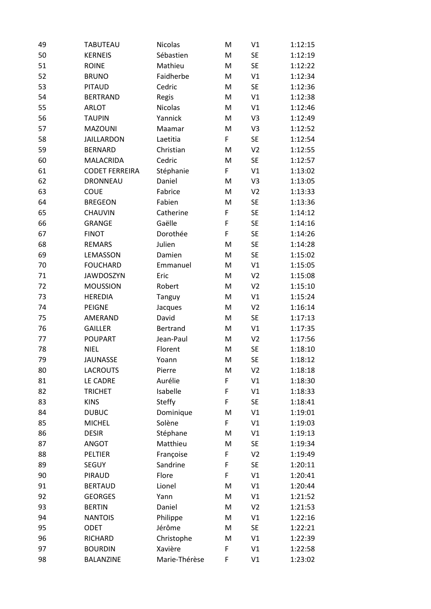| 49 | <b>TABUTEAU</b>       | Nicolas        | M | V1             | 1:12:15 |
|----|-----------------------|----------------|---|----------------|---------|
| 50 | <b>KERNEIS</b>        | Sébastien      | M | <b>SE</b>      | 1:12:19 |
| 51 | <b>ROINE</b>          | Mathieu        | M | <b>SE</b>      | 1:12:22 |
| 52 | <b>BRUNO</b>          | Faidherbe      | M | V1             | 1:12:34 |
| 53 | <b>PITAUD</b>         | Cedric         | M | <b>SE</b>      | 1:12:36 |
| 54 | <b>BERTRAND</b>       | Regis          | M | V1             | 1:12:38 |
| 55 | <b>ARLOT</b>          | <b>Nicolas</b> | M | V1             | 1:12:46 |
| 56 | <b>TAUPIN</b>         | Yannick        | M | V3             | 1:12:49 |
| 57 | <b>MAZOUNI</b>        | Maamar         | M | V <sub>3</sub> | 1:12:52 |
| 58 | <b>JAILLARDON</b>     | Laetitia       | F | <b>SE</b>      | 1:12:54 |
| 59 | <b>BERNARD</b>        | Christian      | M | V <sub>2</sub> | 1:12:55 |
| 60 | <b>MALACRIDA</b>      | Cedric         | M | <b>SE</b>      | 1:12:57 |
| 61 | <b>CODET FERREIRA</b> | Stéphanie      | F | V1             | 1:13:02 |
| 62 | <b>DRONNEAU</b>       | Daniel         | M | V3             | 1:13:05 |
| 63 | <b>COUE</b>           | Fabrice        | M | V <sub>2</sub> | 1:13:33 |
| 64 | <b>BREGEON</b>        | Fabien         | M | <b>SE</b>      | 1:13:36 |
| 65 | CHAUVIN               | Catherine      | F | <b>SE</b>      | 1:14:12 |
| 66 | <b>GRANGE</b>         | Gaëlle         | F | <b>SE</b>      | 1:14:16 |
| 67 | <b>FINOT</b>          | Dorothée       | F | <b>SE</b>      | 1:14:26 |
| 68 | <b>REMARS</b>         | Julien         | M | <b>SE</b>      | 1:14:28 |
| 69 | LEMASSON              | Damien         | M | <b>SE</b>      | 1:15:02 |
| 70 | <b>FOUCHARD</b>       | Emmanuel       | M | V1             | 1:15:05 |
| 71 | <b>JAWDOSZYN</b>      | Eric           | M | V <sub>2</sub> | 1:15:08 |
| 72 | <b>MOUSSION</b>       | Robert         | M | V <sub>2</sub> | 1:15:10 |
| 73 | <b>HEREDIA</b>        | Tanguy         | M | V1             | 1:15:24 |
| 74 | <b>PEIGNE</b>         | Jacques        | M | V <sub>2</sub> | 1:16:14 |
| 75 | AMERAND               | David          | M | <b>SE</b>      | 1:17:13 |
| 76 | <b>GAILLER</b>        | Bertrand       | M | V1             | 1:17:35 |
| 77 | <b>POUPART</b>        | Jean-Paul      | M | V <sub>2</sub> | 1:17:56 |
| 78 | <b>NIEL</b>           | Florent        | M | <b>SE</b>      | 1:18:10 |
| 79 | <b>JAUNASSE</b>       | Yoann          | M | <b>SE</b>      | 1:18:12 |
| 80 | <b>LACROUTS</b>       | Pierre         | M | V <sub>2</sub> | 1:18:18 |
| 81 | LE CADRE              | Aurélie        | F | V1             | 1:18:30 |
| 82 | <b>TRICHET</b>        | Isabelle       | F | V1             | 1:18:33 |
| 83 | <b>KINS</b>           | <b>Steffy</b>  | F | <b>SE</b>      | 1:18:41 |
| 84 | <b>DUBUC</b>          | Dominique      | M | V1             | 1:19:01 |
| 85 | <b>MICHEL</b>         | Solène         | F | V1             | 1:19:03 |
| 86 | <b>DESIR</b>          | Stéphane       | M | V1             | 1:19:13 |
| 87 | ANGOT                 | Matthieu       | M | <b>SE</b>      | 1:19:34 |
| 88 | PELTIER               | Françoise      | F | V <sub>2</sub> | 1:19:49 |
| 89 | <b>SEGUY</b>          | Sandrine       | F | <b>SE</b>      | 1:20:11 |
| 90 | PIRAUD                | Flore          | F | V1             | 1:20:41 |
| 91 | <b>BERTAUD</b>        | Lionel         | M | V1             | 1:20:44 |
| 92 | <b>GEORGES</b>        | Yann           | M | V1             | 1:21:52 |
| 93 | <b>BERTIN</b>         | Daniel         | M | V <sub>2</sub> | 1:21:53 |
| 94 | <b>NANTOIS</b>        | Philippe       | M | V1             | 1:22:16 |
| 95 | ODET                  | Jérôme         | M | SE             | 1:22:21 |
| 96 | RICHARD               | Christophe     | M | V1             | 1:22:39 |
| 97 | <b>BOURDIN</b>        | Xavière        | F | V1             | 1:22:58 |
| 98 | <b>BALANZINE</b>      | Marie-Thérèse  | F | V1             | 1:23:02 |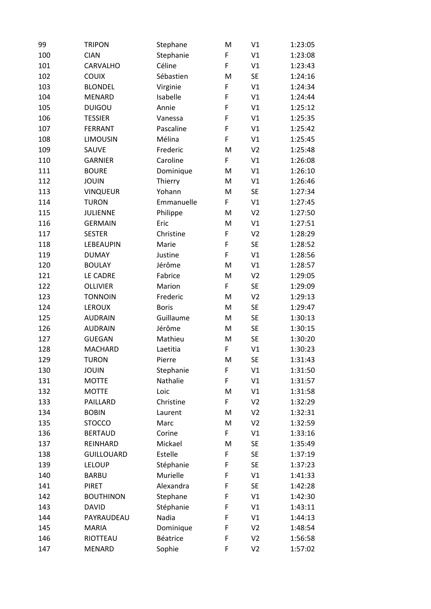| 99  | <b>TRIPON</b>     | Stephane     | M | V1             | 1:23:05 |
|-----|-------------------|--------------|---|----------------|---------|
| 100 | <b>CIAN</b>       | Stephanie    | F | V1             | 1:23:08 |
| 101 | CARVALHO          | Céline       | F | V1             | 1:23:43 |
| 102 | <b>COUIX</b>      | Sébastien    | M | <b>SE</b>      | 1:24:16 |
| 103 | <b>BLONDEL</b>    | Virginie     | F | V1             | 1:24:34 |
| 104 | <b>MENARD</b>     | Isabelle     | F | V1             | 1:24:44 |
| 105 | <b>DUIGOU</b>     | Annie        | F | V1             | 1:25:12 |
| 106 | <b>TESSIER</b>    | Vanessa      | F | V1             | 1:25:35 |
| 107 | <b>FERRANT</b>    | Pascaline    | F | V1             | 1:25:42 |
| 108 | <b>LIMOUSIN</b>   | Mélina       | F | V1             | 1:25:45 |
| 109 | SAUVE             | Frederic     | M | V <sub>2</sub> | 1:25:48 |
| 110 | <b>GARNIER</b>    | Caroline     | F | V1             | 1:26:08 |
| 111 | <b>BOURE</b>      | Dominique    | M | V1             | 1:26:10 |
| 112 | <b>JOUIN</b>      | Thierry      | M | V1             | 1:26:46 |
| 113 | <b>VINQUEUR</b>   | Yohann       | M | <b>SE</b>      | 1:27:34 |
| 114 | <b>TURON</b>      | Emmanuelle   | F | V1             | 1:27:45 |
| 115 | <b>JULIENNE</b>   | Philippe     | M | V <sub>2</sub> | 1:27:50 |
| 116 | <b>GERMAIN</b>    | Eric         | M | V1             | 1:27:51 |
| 117 | <b>SESTER</b>     | Christine    | F | V <sub>2</sub> | 1:28:29 |
| 118 | LEBEAUPIN         | Marie        | F | <b>SE</b>      | 1:28:52 |
| 119 | <b>DUMAY</b>      | Justine      | F | V1             | 1:28:56 |
| 120 | <b>BOULAY</b>     | Jérôme       | M | V1             | 1:28:57 |
| 121 | LE CADRE          | Fabrice      | M | V <sub>2</sub> | 1:29:05 |
| 122 | <b>OLLIVIER</b>   | Marion       | F | <b>SE</b>      | 1:29:09 |
| 123 | <b>TONNOIN</b>    | Frederic     | M | V <sub>2</sub> | 1:29:13 |
| 124 | LEROUX            | <b>Boris</b> | M | <b>SE</b>      | 1:29:47 |
| 125 | <b>AUDRAIN</b>    | Guillaume    | M | <b>SE</b>      | 1:30:13 |
| 126 | <b>AUDRAIN</b>    | Jérôme       | M | <b>SE</b>      | 1:30:15 |
| 127 | <b>GUEGAN</b>     | Mathieu      | M | <b>SE</b>      | 1:30:20 |
| 128 | <b>MACHARD</b>    | Laetitia     | F | V1             | 1:30:23 |
| 129 | <b>TURON</b>      | Pierre       | M | <b>SE</b>      | 1:31:43 |
| 130 | <b>JOUIN</b>      | Stephanie    | F | V1             | 1:31:50 |
| 131 | <b>MOTTE</b>      | Nathalie     | F | V1             | 1:31:57 |
| 132 | <b>MOTTE</b>      | Loic         | M | V1             | 1:31:58 |
| 133 | PAILLARD          | Christine    | F | V <sub>2</sub> | 1:32:29 |
| 134 | <b>BOBIN</b>      | Laurent      | M | V <sub>2</sub> | 1:32:31 |
| 135 | <b>STOCCO</b>     | Marc         | M | V <sub>2</sub> | 1:32:59 |
| 136 | <b>BERTAUD</b>    | Corine       | F | V1             | 1:33:16 |
| 137 | REINHARD          | Mickael      | M | <b>SE</b>      | 1:35:49 |
| 138 | <b>GUILLOUARD</b> | Estelle      | F | <b>SE</b>      | 1:37:19 |
| 139 | <b>LELOUP</b>     | Stéphanie    | F | <b>SE</b>      | 1:37:23 |
| 140 | <b>BARBU</b>      | Murielle     | F | V1             | 1:41:33 |
| 141 | <b>PIRET</b>      | Alexandra    | F | <b>SE</b>      | 1:42:28 |
| 142 | <b>BOUTHINON</b>  | Stephane     | F | V1             | 1:42:30 |
| 143 | <b>DAVID</b>      | Stéphanie    | F | V1             | 1:43:11 |
| 144 | PAYRAUDEAU        | Nadia        | F | V1             | 1:44:13 |
| 145 | <b>MARIA</b>      | Dominique    | F | V <sub>2</sub> | 1:48:54 |
| 146 | RIOTTEAU          | Béatrice     | F | V <sub>2</sub> | 1:56:58 |
| 147 | MENARD            | Sophie       | F | V <sub>2</sub> | 1:57:02 |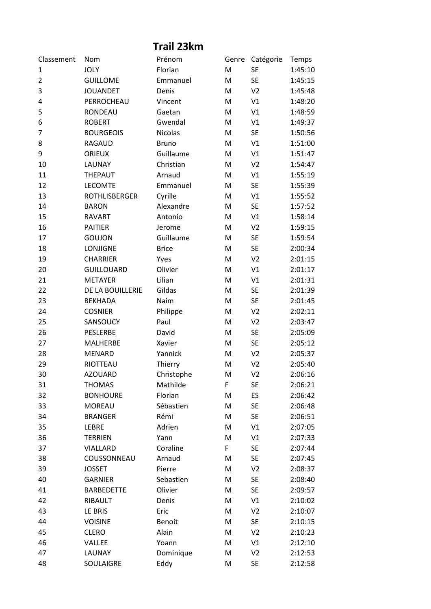| Prénom<br>Catégorie<br>Classement<br>Nom<br>Genre<br>Temps<br><b>JOLY</b><br>Florian<br><b>SE</b><br>1:45:10<br>1<br>M<br><b>SE</b><br>$\overline{2}$<br><b>GUILLOME</b><br>Emmanuel<br>M<br>1:45:15<br>3<br><b>JOUANDET</b><br>V <sub>2</sub><br>Denis<br>M<br>1:45:48<br>PERROCHEAU<br>V1<br>1:48:20<br>4<br>Vincent<br>M<br>5<br>V1<br><b>RONDEAU</b><br>M<br>1:48:59<br>Gaetan<br><b>ROBERT</b><br>Gwendal<br>V1<br>1:49:37<br>6<br>M<br><b>Nicolas</b><br><b>SE</b><br>7<br><b>BOURGEOIS</b><br>M<br>1:50:56<br>V1<br>8<br><b>RAGAUD</b><br>1:51:00<br><b>Bruno</b><br>M<br>Guillaume<br>V1<br><b>ORIEUX</b><br>1:51:47<br>9<br>M<br>V <sub>2</sub><br>LAUNAY<br>Christian<br>1:54:47<br>10<br>M<br>11<br><b>THEPAUT</b><br>V1<br>1:55:19<br>Arnaud<br>M<br>12<br><b>SE</b><br><b>LECOMTE</b><br>M<br>Emmanuel<br>1:55:39<br>13<br><b>ROTHLISBERGER</b><br>Cyrille<br>V1<br>1:55:52<br>M<br>14<br><b>SE</b><br>1:57:52<br><b>BARON</b><br>Alexandre<br>M<br>15<br>V1<br>1:58:14<br><b>RAVART</b><br>Antonio<br>M<br>16<br><b>PAITIER</b><br>V <sub>2</sub><br>1:59:15<br>Jerome<br>M<br>Guillaume<br><b>SE</b><br>17<br><b>GOUJON</b><br>M<br>1:59:54<br>18<br><b>LONJIGNE</b><br><b>Brice</b><br><b>SE</b><br>2:00:34<br>M<br>V <sub>2</sub><br>19<br><b>CHARRIER</b><br>M<br>2:01:15<br>Yves<br>20<br><b>GUILLOUARD</b><br>Olivier<br>V1<br>2:01:17<br>M<br>21<br><b>METAYER</b><br>Lilian<br>V1<br>2:01:31<br>M<br>22<br>DE LA BOUILLERIE<br>Gildas<br>M<br><b>SE</b><br>2:01:39<br>23<br><b>BEKHADA</b><br>Naim<br><b>SE</b><br>2:01:45<br>M<br>V <sub>2</sub><br>2:02:11<br>24<br><b>COSNIER</b><br>Philippe<br>M<br>25<br>SANSOUCY<br>Paul<br>V <sub>2</sub><br>2:03:47<br>M<br>26<br><b>PESLERBE</b><br><b>SE</b><br>2:05:09<br>David<br>M<br><b>SE</b><br>27<br>Xavier<br><b>MALHERBE</b><br>M<br>2:05:12<br>28<br><b>MENARD</b><br>V <sub>2</sub><br>2:05:37<br>Yannick<br>M<br>29<br>RIOTTEAU<br>Thierry<br>M<br>V <sub>2</sub><br>2:05:40<br>Christophe<br>30<br><b>AZOUARD</b><br>M<br>2:06:16<br>V <sub>2</sub><br>Mathilde<br>F<br><b>SE</b><br>31<br><b>THOMAS</b><br>2:06:21<br>32<br><b>BONHOURE</b><br>Florian<br>M<br>ES<br>2:06:42<br>33<br><b>MOREAU</b><br>Sébastien<br><b>SE</b><br>M<br>2:06:48<br><b>SE</b><br>34<br>Rémi<br><b>BRANGER</b><br>M<br>2:06:51<br>35<br>LEBRE<br>Adrien<br>V1<br>M<br>2:07:05<br>36<br><b>TERRIEN</b><br>Yann<br>M<br>V1<br>2:07:33<br>37<br>Coraline<br>F<br>VIALLARD<br><b>SE</b><br>2:07:44<br>38<br>COUSSONNEAU<br>Arnaud<br><b>SE</b><br>M<br>2:07:45<br>39<br><b>JOSSET</b><br>Pierre<br>M<br>V <sub>2</sub><br>2:08:37 | Trail 23km |                |           |   |           |         |  |
|------------------------------------------------------------------------------------------------------------------------------------------------------------------------------------------------------------------------------------------------------------------------------------------------------------------------------------------------------------------------------------------------------------------------------------------------------------------------------------------------------------------------------------------------------------------------------------------------------------------------------------------------------------------------------------------------------------------------------------------------------------------------------------------------------------------------------------------------------------------------------------------------------------------------------------------------------------------------------------------------------------------------------------------------------------------------------------------------------------------------------------------------------------------------------------------------------------------------------------------------------------------------------------------------------------------------------------------------------------------------------------------------------------------------------------------------------------------------------------------------------------------------------------------------------------------------------------------------------------------------------------------------------------------------------------------------------------------------------------------------------------------------------------------------------------------------------------------------------------------------------------------------------------------------------------------------------------------------------------------------------------------------------------------------------------------------------------------------------------------------------------------------------------------------------------------------------------------------------------------------------------------------------------------------------------------------------------------------------------------------------------------------------------------------------------------------------------------------------------------------------------------------------------------------------------------------------------------|------------|----------------|-----------|---|-----------|---------|--|
|                                                                                                                                                                                                                                                                                                                                                                                                                                                                                                                                                                                                                                                                                                                                                                                                                                                                                                                                                                                                                                                                                                                                                                                                                                                                                                                                                                                                                                                                                                                                                                                                                                                                                                                                                                                                                                                                                                                                                                                                                                                                                                                                                                                                                                                                                                                                                                                                                                                                                                                                                                                          |            |                |           |   |           |         |  |
|                                                                                                                                                                                                                                                                                                                                                                                                                                                                                                                                                                                                                                                                                                                                                                                                                                                                                                                                                                                                                                                                                                                                                                                                                                                                                                                                                                                                                                                                                                                                                                                                                                                                                                                                                                                                                                                                                                                                                                                                                                                                                                                                                                                                                                                                                                                                                                                                                                                                                                                                                                                          |            |                |           |   |           |         |  |
|                                                                                                                                                                                                                                                                                                                                                                                                                                                                                                                                                                                                                                                                                                                                                                                                                                                                                                                                                                                                                                                                                                                                                                                                                                                                                                                                                                                                                                                                                                                                                                                                                                                                                                                                                                                                                                                                                                                                                                                                                                                                                                                                                                                                                                                                                                                                                                                                                                                                                                                                                                                          |            |                |           |   |           |         |  |
|                                                                                                                                                                                                                                                                                                                                                                                                                                                                                                                                                                                                                                                                                                                                                                                                                                                                                                                                                                                                                                                                                                                                                                                                                                                                                                                                                                                                                                                                                                                                                                                                                                                                                                                                                                                                                                                                                                                                                                                                                                                                                                                                                                                                                                                                                                                                                                                                                                                                                                                                                                                          |            |                |           |   |           |         |  |
|                                                                                                                                                                                                                                                                                                                                                                                                                                                                                                                                                                                                                                                                                                                                                                                                                                                                                                                                                                                                                                                                                                                                                                                                                                                                                                                                                                                                                                                                                                                                                                                                                                                                                                                                                                                                                                                                                                                                                                                                                                                                                                                                                                                                                                                                                                                                                                                                                                                                                                                                                                                          |            |                |           |   |           |         |  |
|                                                                                                                                                                                                                                                                                                                                                                                                                                                                                                                                                                                                                                                                                                                                                                                                                                                                                                                                                                                                                                                                                                                                                                                                                                                                                                                                                                                                                                                                                                                                                                                                                                                                                                                                                                                                                                                                                                                                                                                                                                                                                                                                                                                                                                                                                                                                                                                                                                                                                                                                                                                          |            |                |           |   |           |         |  |
|                                                                                                                                                                                                                                                                                                                                                                                                                                                                                                                                                                                                                                                                                                                                                                                                                                                                                                                                                                                                                                                                                                                                                                                                                                                                                                                                                                                                                                                                                                                                                                                                                                                                                                                                                                                                                                                                                                                                                                                                                                                                                                                                                                                                                                                                                                                                                                                                                                                                                                                                                                                          |            |                |           |   |           |         |  |
|                                                                                                                                                                                                                                                                                                                                                                                                                                                                                                                                                                                                                                                                                                                                                                                                                                                                                                                                                                                                                                                                                                                                                                                                                                                                                                                                                                                                                                                                                                                                                                                                                                                                                                                                                                                                                                                                                                                                                                                                                                                                                                                                                                                                                                                                                                                                                                                                                                                                                                                                                                                          |            |                |           |   |           |         |  |
|                                                                                                                                                                                                                                                                                                                                                                                                                                                                                                                                                                                                                                                                                                                                                                                                                                                                                                                                                                                                                                                                                                                                                                                                                                                                                                                                                                                                                                                                                                                                                                                                                                                                                                                                                                                                                                                                                                                                                                                                                                                                                                                                                                                                                                                                                                                                                                                                                                                                                                                                                                                          |            |                |           |   |           |         |  |
|                                                                                                                                                                                                                                                                                                                                                                                                                                                                                                                                                                                                                                                                                                                                                                                                                                                                                                                                                                                                                                                                                                                                                                                                                                                                                                                                                                                                                                                                                                                                                                                                                                                                                                                                                                                                                                                                                                                                                                                                                                                                                                                                                                                                                                                                                                                                                                                                                                                                                                                                                                                          |            |                |           |   |           |         |  |
|                                                                                                                                                                                                                                                                                                                                                                                                                                                                                                                                                                                                                                                                                                                                                                                                                                                                                                                                                                                                                                                                                                                                                                                                                                                                                                                                                                                                                                                                                                                                                                                                                                                                                                                                                                                                                                                                                                                                                                                                                                                                                                                                                                                                                                                                                                                                                                                                                                                                                                                                                                                          |            |                |           |   |           |         |  |
|                                                                                                                                                                                                                                                                                                                                                                                                                                                                                                                                                                                                                                                                                                                                                                                                                                                                                                                                                                                                                                                                                                                                                                                                                                                                                                                                                                                                                                                                                                                                                                                                                                                                                                                                                                                                                                                                                                                                                                                                                                                                                                                                                                                                                                                                                                                                                                                                                                                                                                                                                                                          |            |                |           |   |           |         |  |
|                                                                                                                                                                                                                                                                                                                                                                                                                                                                                                                                                                                                                                                                                                                                                                                                                                                                                                                                                                                                                                                                                                                                                                                                                                                                                                                                                                                                                                                                                                                                                                                                                                                                                                                                                                                                                                                                                                                                                                                                                                                                                                                                                                                                                                                                                                                                                                                                                                                                                                                                                                                          |            |                |           |   |           |         |  |
|                                                                                                                                                                                                                                                                                                                                                                                                                                                                                                                                                                                                                                                                                                                                                                                                                                                                                                                                                                                                                                                                                                                                                                                                                                                                                                                                                                                                                                                                                                                                                                                                                                                                                                                                                                                                                                                                                                                                                                                                                                                                                                                                                                                                                                                                                                                                                                                                                                                                                                                                                                                          |            |                |           |   |           |         |  |
|                                                                                                                                                                                                                                                                                                                                                                                                                                                                                                                                                                                                                                                                                                                                                                                                                                                                                                                                                                                                                                                                                                                                                                                                                                                                                                                                                                                                                                                                                                                                                                                                                                                                                                                                                                                                                                                                                                                                                                                                                                                                                                                                                                                                                                                                                                                                                                                                                                                                                                                                                                                          |            |                |           |   |           |         |  |
|                                                                                                                                                                                                                                                                                                                                                                                                                                                                                                                                                                                                                                                                                                                                                                                                                                                                                                                                                                                                                                                                                                                                                                                                                                                                                                                                                                                                                                                                                                                                                                                                                                                                                                                                                                                                                                                                                                                                                                                                                                                                                                                                                                                                                                                                                                                                                                                                                                                                                                                                                                                          |            |                |           |   |           |         |  |
|                                                                                                                                                                                                                                                                                                                                                                                                                                                                                                                                                                                                                                                                                                                                                                                                                                                                                                                                                                                                                                                                                                                                                                                                                                                                                                                                                                                                                                                                                                                                                                                                                                                                                                                                                                                                                                                                                                                                                                                                                                                                                                                                                                                                                                                                                                                                                                                                                                                                                                                                                                                          |            |                |           |   |           |         |  |
|                                                                                                                                                                                                                                                                                                                                                                                                                                                                                                                                                                                                                                                                                                                                                                                                                                                                                                                                                                                                                                                                                                                                                                                                                                                                                                                                                                                                                                                                                                                                                                                                                                                                                                                                                                                                                                                                                                                                                                                                                                                                                                                                                                                                                                                                                                                                                                                                                                                                                                                                                                                          |            |                |           |   |           |         |  |
|                                                                                                                                                                                                                                                                                                                                                                                                                                                                                                                                                                                                                                                                                                                                                                                                                                                                                                                                                                                                                                                                                                                                                                                                                                                                                                                                                                                                                                                                                                                                                                                                                                                                                                                                                                                                                                                                                                                                                                                                                                                                                                                                                                                                                                                                                                                                                                                                                                                                                                                                                                                          |            |                |           |   |           |         |  |
|                                                                                                                                                                                                                                                                                                                                                                                                                                                                                                                                                                                                                                                                                                                                                                                                                                                                                                                                                                                                                                                                                                                                                                                                                                                                                                                                                                                                                                                                                                                                                                                                                                                                                                                                                                                                                                                                                                                                                                                                                                                                                                                                                                                                                                                                                                                                                                                                                                                                                                                                                                                          |            |                |           |   |           |         |  |
|                                                                                                                                                                                                                                                                                                                                                                                                                                                                                                                                                                                                                                                                                                                                                                                                                                                                                                                                                                                                                                                                                                                                                                                                                                                                                                                                                                                                                                                                                                                                                                                                                                                                                                                                                                                                                                                                                                                                                                                                                                                                                                                                                                                                                                                                                                                                                                                                                                                                                                                                                                                          |            |                |           |   |           |         |  |
|                                                                                                                                                                                                                                                                                                                                                                                                                                                                                                                                                                                                                                                                                                                                                                                                                                                                                                                                                                                                                                                                                                                                                                                                                                                                                                                                                                                                                                                                                                                                                                                                                                                                                                                                                                                                                                                                                                                                                                                                                                                                                                                                                                                                                                                                                                                                                                                                                                                                                                                                                                                          |            |                |           |   |           |         |  |
|                                                                                                                                                                                                                                                                                                                                                                                                                                                                                                                                                                                                                                                                                                                                                                                                                                                                                                                                                                                                                                                                                                                                                                                                                                                                                                                                                                                                                                                                                                                                                                                                                                                                                                                                                                                                                                                                                                                                                                                                                                                                                                                                                                                                                                                                                                                                                                                                                                                                                                                                                                                          |            |                |           |   |           |         |  |
|                                                                                                                                                                                                                                                                                                                                                                                                                                                                                                                                                                                                                                                                                                                                                                                                                                                                                                                                                                                                                                                                                                                                                                                                                                                                                                                                                                                                                                                                                                                                                                                                                                                                                                                                                                                                                                                                                                                                                                                                                                                                                                                                                                                                                                                                                                                                                                                                                                                                                                                                                                                          |            |                |           |   |           |         |  |
|                                                                                                                                                                                                                                                                                                                                                                                                                                                                                                                                                                                                                                                                                                                                                                                                                                                                                                                                                                                                                                                                                                                                                                                                                                                                                                                                                                                                                                                                                                                                                                                                                                                                                                                                                                                                                                                                                                                                                                                                                                                                                                                                                                                                                                                                                                                                                                                                                                                                                                                                                                                          |            |                |           |   |           |         |  |
|                                                                                                                                                                                                                                                                                                                                                                                                                                                                                                                                                                                                                                                                                                                                                                                                                                                                                                                                                                                                                                                                                                                                                                                                                                                                                                                                                                                                                                                                                                                                                                                                                                                                                                                                                                                                                                                                                                                                                                                                                                                                                                                                                                                                                                                                                                                                                                                                                                                                                                                                                                                          |            |                |           |   |           |         |  |
|                                                                                                                                                                                                                                                                                                                                                                                                                                                                                                                                                                                                                                                                                                                                                                                                                                                                                                                                                                                                                                                                                                                                                                                                                                                                                                                                                                                                                                                                                                                                                                                                                                                                                                                                                                                                                                                                                                                                                                                                                                                                                                                                                                                                                                                                                                                                                                                                                                                                                                                                                                                          |            |                |           |   |           |         |  |
|                                                                                                                                                                                                                                                                                                                                                                                                                                                                                                                                                                                                                                                                                                                                                                                                                                                                                                                                                                                                                                                                                                                                                                                                                                                                                                                                                                                                                                                                                                                                                                                                                                                                                                                                                                                                                                                                                                                                                                                                                                                                                                                                                                                                                                                                                                                                                                                                                                                                                                                                                                                          |            |                |           |   |           |         |  |
|                                                                                                                                                                                                                                                                                                                                                                                                                                                                                                                                                                                                                                                                                                                                                                                                                                                                                                                                                                                                                                                                                                                                                                                                                                                                                                                                                                                                                                                                                                                                                                                                                                                                                                                                                                                                                                                                                                                                                                                                                                                                                                                                                                                                                                                                                                                                                                                                                                                                                                                                                                                          |            |                |           |   |           |         |  |
|                                                                                                                                                                                                                                                                                                                                                                                                                                                                                                                                                                                                                                                                                                                                                                                                                                                                                                                                                                                                                                                                                                                                                                                                                                                                                                                                                                                                                                                                                                                                                                                                                                                                                                                                                                                                                                                                                                                                                                                                                                                                                                                                                                                                                                                                                                                                                                                                                                                                                                                                                                                          |            |                |           |   |           |         |  |
|                                                                                                                                                                                                                                                                                                                                                                                                                                                                                                                                                                                                                                                                                                                                                                                                                                                                                                                                                                                                                                                                                                                                                                                                                                                                                                                                                                                                                                                                                                                                                                                                                                                                                                                                                                                                                                                                                                                                                                                                                                                                                                                                                                                                                                                                                                                                                                                                                                                                                                                                                                                          |            |                |           |   |           |         |  |
|                                                                                                                                                                                                                                                                                                                                                                                                                                                                                                                                                                                                                                                                                                                                                                                                                                                                                                                                                                                                                                                                                                                                                                                                                                                                                                                                                                                                                                                                                                                                                                                                                                                                                                                                                                                                                                                                                                                                                                                                                                                                                                                                                                                                                                                                                                                                                                                                                                                                                                                                                                                          |            |                |           |   |           |         |  |
|                                                                                                                                                                                                                                                                                                                                                                                                                                                                                                                                                                                                                                                                                                                                                                                                                                                                                                                                                                                                                                                                                                                                                                                                                                                                                                                                                                                                                                                                                                                                                                                                                                                                                                                                                                                                                                                                                                                                                                                                                                                                                                                                                                                                                                                                                                                                                                                                                                                                                                                                                                                          |            |                |           |   |           |         |  |
|                                                                                                                                                                                                                                                                                                                                                                                                                                                                                                                                                                                                                                                                                                                                                                                                                                                                                                                                                                                                                                                                                                                                                                                                                                                                                                                                                                                                                                                                                                                                                                                                                                                                                                                                                                                                                                                                                                                                                                                                                                                                                                                                                                                                                                                                                                                                                                                                                                                                                                                                                                                          |            |                |           |   |           |         |  |
|                                                                                                                                                                                                                                                                                                                                                                                                                                                                                                                                                                                                                                                                                                                                                                                                                                                                                                                                                                                                                                                                                                                                                                                                                                                                                                                                                                                                                                                                                                                                                                                                                                                                                                                                                                                                                                                                                                                                                                                                                                                                                                                                                                                                                                                                                                                                                                                                                                                                                                                                                                                          |            |                |           |   |           |         |  |
|                                                                                                                                                                                                                                                                                                                                                                                                                                                                                                                                                                                                                                                                                                                                                                                                                                                                                                                                                                                                                                                                                                                                                                                                                                                                                                                                                                                                                                                                                                                                                                                                                                                                                                                                                                                                                                                                                                                                                                                                                                                                                                                                                                                                                                                                                                                                                                                                                                                                                                                                                                                          |            |                |           |   |           |         |  |
|                                                                                                                                                                                                                                                                                                                                                                                                                                                                                                                                                                                                                                                                                                                                                                                                                                                                                                                                                                                                                                                                                                                                                                                                                                                                                                                                                                                                                                                                                                                                                                                                                                                                                                                                                                                                                                                                                                                                                                                                                                                                                                                                                                                                                                                                                                                                                                                                                                                                                                                                                                                          |            |                |           |   |           |         |  |
|                                                                                                                                                                                                                                                                                                                                                                                                                                                                                                                                                                                                                                                                                                                                                                                                                                                                                                                                                                                                                                                                                                                                                                                                                                                                                                                                                                                                                                                                                                                                                                                                                                                                                                                                                                                                                                                                                                                                                                                                                                                                                                                                                                                                                                                                                                                                                                                                                                                                                                                                                                                          |            |                |           |   |           |         |  |
|                                                                                                                                                                                                                                                                                                                                                                                                                                                                                                                                                                                                                                                                                                                                                                                                                                                                                                                                                                                                                                                                                                                                                                                                                                                                                                                                                                                                                                                                                                                                                                                                                                                                                                                                                                                                                                                                                                                                                                                                                                                                                                                                                                                                                                                                                                                                                                                                                                                                                                                                                                                          |            |                |           |   |           |         |  |
|                                                                                                                                                                                                                                                                                                                                                                                                                                                                                                                                                                                                                                                                                                                                                                                                                                                                                                                                                                                                                                                                                                                                                                                                                                                                                                                                                                                                                                                                                                                                                                                                                                                                                                                                                                                                                                                                                                                                                                                                                                                                                                                                                                                                                                                                                                                                                                                                                                                                                                                                                                                          |            |                |           |   |           |         |  |
|                                                                                                                                                                                                                                                                                                                                                                                                                                                                                                                                                                                                                                                                                                                                                                                                                                                                                                                                                                                                                                                                                                                                                                                                                                                                                                                                                                                                                                                                                                                                                                                                                                                                                                                                                                                                                                                                                                                                                                                                                                                                                                                                                                                                                                                                                                                                                                                                                                                                                                                                                                                          | 40         | <b>GARNIER</b> | Sebastien | M | <b>SE</b> | 2:08:40 |  |
| <b>SE</b><br>41<br>Olivier<br><b>BARBEDETTE</b><br>M<br>2:09:57                                                                                                                                                                                                                                                                                                                                                                                                                                                                                                                                                                                                                                                                                                                                                                                                                                                                                                                                                                                                                                                                                                                                                                                                                                                                                                                                                                                                                                                                                                                                                                                                                                                                                                                                                                                                                                                                                                                                                                                                                                                                                                                                                                                                                                                                                                                                                                                                                                                                                                                          |            |                |           |   |           |         |  |
| 42<br>V1<br>RIBAULT<br>Denis<br>M<br>2:10:02                                                                                                                                                                                                                                                                                                                                                                                                                                                                                                                                                                                                                                                                                                                                                                                                                                                                                                                                                                                                                                                                                                                                                                                                                                                                                                                                                                                                                                                                                                                                                                                                                                                                                                                                                                                                                                                                                                                                                                                                                                                                                                                                                                                                                                                                                                                                                                                                                                                                                                                                             |            |                |           |   |           |         |  |
| 43<br>LE BRIS<br>Eric<br>M<br>V <sub>2</sub><br>2:10:07                                                                                                                                                                                                                                                                                                                                                                                                                                                                                                                                                                                                                                                                                                                                                                                                                                                                                                                                                                                                                                                                                                                                                                                                                                                                                                                                                                                                                                                                                                                                                                                                                                                                                                                                                                                                                                                                                                                                                                                                                                                                                                                                                                                                                                                                                                                                                                                                                                                                                                                                  |            |                |           |   |           |         |  |
| 44<br><b>Benoit</b><br><b>SE</b><br>2:10:15<br><b>VOISINE</b><br>M                                                                                                                                                                                                                                                                                                                                                                                                                                                                                                                                                                                                                                                                                                                                                                                                                                                                                                                                                                                                                                                                                                                                                                                                                                                                                                                                                                                                                                                                                                                                                                                                                                                                                                                                                                                                                                                                                                                                                                                                                                                                                                                                                                                                                                                                                                                                                                                                                                                                                                                       |            |                |           |   |           |         |  |
| 45<br>Alain<br>V <sub>2</sub><br><b>CLERO</b><br>M<br>2:10:23                                                                                                                                                                                                                                                                                                                                                                                                                                                                                                                                                                                                                                                                                                                                                                                                                                                                                                                                                                                                                                                                                                                                                                                                                                                                                                                                                                                                                                                                                                                                                                                                                                                                                                                                                                                                                                                                                                                                                                                                                                                                                                                                                                                                                                                                                                                                                                                                                                                                                                                            |            |                |           |   |           |         |  |
| 46<br>Yoann<br>V1<br>VALLEE<br>M<br>2:12:10                                                                                                                                                                                                                                                                                                                                                                                                                                                                                                                                                                                                                                                                                                                                                                                                                                                                                                                                                                                                                                                                                                                                                                                                                                                                                                                                                                                                                                                                                                                                                                                                                                                                                                                                                                                                                                                                                                                                                                                                                                                                                                                                                                                                                                                                                                                                                                                                                                                                                                                                              |            |                |           |   |           |         |  |
| 47<br>Dominique<br>V <sub>2</sub><br>LAUNAY<br>M<br>2:12:53                                                                                                                                                                                                                                                                                                                                                                                                                                                                                                                                                                                                                                                                                                                                                                                                                                                                                                                                                                                                                                                                                                                                                                                                                                                                                                                                                                                                                                                                                                                                                                                                                                                                                                                                                                                                                                                                                                                                                                                                                                                                                                                                                                                                                                                                                                                                                                                                                                                                                                                              |            |                |           |   |           |         |  |
| <b>SE</b><br>48<br>SOULAIGRE<br>Eddy<br>M<br>2:12:58                                                                                                                                                                                                                                                                                                                                                                                                                                                                                                                                                                                                                                                                                                                                                                                                                                                                                                                                                                                                                                                                                                                                                                                                                                                                                                                                                                                                                                                                                                                                                                                                                                                                                                                                                                                                                                                                                                                                                                                                                                                                                                                                                                                                                                                                                                                                                                                                                                                                                                                                     |            |                |           |   |           |         |  |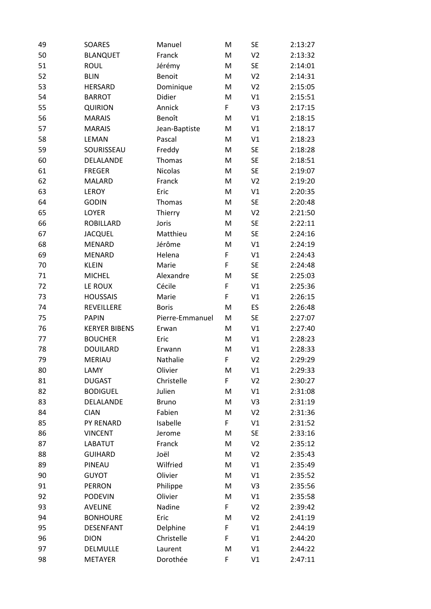| 49 | SOARES               | Manuel          | M | <b>SE</b>      | 2:13:27 |
|----|----------------------|-----------------|---|----------------|---------|
| 50 | <b>BLANQUET</b>      | Franck          | M | V <sub>2</sub> | 2:13:32 |
| 51 | <b>ROUL</b>          | Jérémy          | M | <b>SE</b>      | 2:14:01 |
| 52 | <b>BLIN</b>          | <b>Benoit</b>   | M | V <sub>2</sub> | 2:14:31 |
| 53 | <b>HERSARD</b>       | Dominique       | M | V <sub>2</sub> | 2:15:05 |
| 54 | <b>BARROT</b>        | Didier          | M | V1             | 2:15:51 |
| 55 | <b>QUIRION</b>       | Annick          | F | V3             | 2:17:15 |
| 56 | <b>MARAIS</b>        | Benoît          | M | V1             | 2:18:15 |
| 57 | <b>MARAIS</b>        | Jean-Baptiste   | M | V1             | 2:18:17 |
| 58 | <b>LEMAN</b>         | Pascal          | M | V1             | 2:18:23 |
| 59 | SOURISSEAU           | Freddy          | M | <b>SE</b>      | 2:18:28 |
| 60 | DELALANDE            | Thomas          | M | <b>SE</b>      | 2:18:51 |
| 61 | <b>FREGER</b>        | Nicolas         | M | <b>SE</b>      | 2:19:07 |
| 62 | <b>MALARD</b>        | Franck          | M | V <sub>2</sub> | 2:19:20 |
| 63 | <b>LEROY</b>         | Eric            | M | V1             | 2:20:35 |
| 64 | <b>GODIN</b>         | Thomas          | M | <b>SE</b>      | 2:20:48 |
| 65 | LOYER                | Thierry         | M | V <sub>2</sub> | 2:21:50 |
| 66 | <b>ROBILLARD</b>     | Joris           | M | <b>SE</b>      | 2:22:11 |
| 67 | <b>JACQUEL</b>       | Matthieu        | M | <b>SE</b>      | 2:24:16 |
| 68 | <b>MENARD</b>        | Jérôme          | M | V1             | 2:24:19 |
| 69 | <b>MENARD</b>        | Helena          | F | V1             | 2:24:43 |
| 70 | <b>KLEIN</b>         | Marie           | F | <b>SE</b>      | 2:24:48 |
| 71 | <b>MICHEL</b>        | Alexandre       | M | <b>SE</b>      | 2:25:03 |
| 72 | LE ROUX              | Cécile          | F | V1             | 2:25:36 |
| 73 | <b>HOUSSAIS</b>      | Marie           | F | V1             | 2:26:15 |
| 74 | REVEILLERE           | <b>Boris</b>    | M | ES             | 2:26:48 |
| 75 | <b>PAPIN</b>         | Pierre-Emmanuel | M | <b>SE</b>      | 2:27:07 |
| 76 | <b>KERYER BIBENS</b> | Erwan           | M | V1             | 2:27:40 |
| 77 | <b>BOUCHER</b>       | Eric            | M | V1             | 2:28:23 |
| 78 | <b>DOUILARD</b>      | Erwann          | M | V1             | 2:28:33 |
| 79 | <b>MERIAU</b>        | Nathalie        | F | V <sub>2</sub> | 2:29:29 |
| 80 | LAMY                 | Olivier         | M | V1             | 2:29:33 |
| 81 | <b>DUGAST</b>        | Christelle      | F | V <sub>2</sub> | 2:30:27 |
| 82 | <b>BODIGUEL</b>      | Julien          | M | V1             | 2:31:08 |
| 83 | DELALANDE            | <b>Bruno</b>    | M | V3             | 2:31:19 |
| 84 | <b>CIAN</b>          | Fabien          | M | V <sub>2</sub> | 2:31:36 |
| 85 | PY RENARD            | Isabelle        | F | V1             | 2:31:52 |
| 86 | <b>VINCENT</b>       | Jerome          | M | <b>SE</b>      | 2:33:16 |
| 87 | LABATUT              | Franck          | M | V <sub>2</sub> | 2:35:12 |
| 88 | <b>GUIHARD</b>       | Joël            | M | V <sub>2</sub> | 2:35:43 |
| 89 | PINEAU               | Wilfried        | M | V1             | 2:35:49 |
| 90 | <b>GUYOT</b>         | Olivier         | M | V1             | 2:35:52 |
| 91 | <b>PERRON</b>        | Philippe        | M | V <sub>3</sub> | 2:35:56 |
| 92 | <b>PODEVIN</b>       | Olivier         | M | V1             | 2:35:58 |
| 93 | <b>AVELINE</b>       | Nadine          | F | V <sub>2</sub> | 2:39:42 |
| 94 | <b>BONHOURE</b>      | Eric            | M | V <sub>2</sub> | 2:41:19 |
| 95 | <b>DESENFANT</b>     | Delphine        | F | V1             | 2:44:19 |
| 96 | <b>DION</b>          | Christelle      | F | V1             | 2:44:20 |
| 97 | DELMULLE             | Laurent         | M | V1             | 2:44:22 |
| 98 | <b>METAYER</b>       | Dorothée        | F | V1             | 2:47:11 |
|    |                      |                 |   |                |         |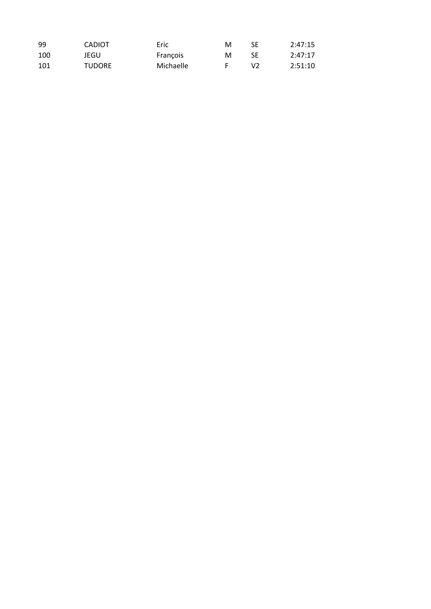| 99  | <b>CADIOT</b> | Eric      | м | SE         | 2:47:15 |
|-----|---------------|-----------|---|------------|---------|
| 100 | JEGU          | Francois  | м | SE.        | 2:47:17 |
| 101 | <b>TUDORE</b> | Michaelle |   | <b>\/フ</b> | 2:51:10 |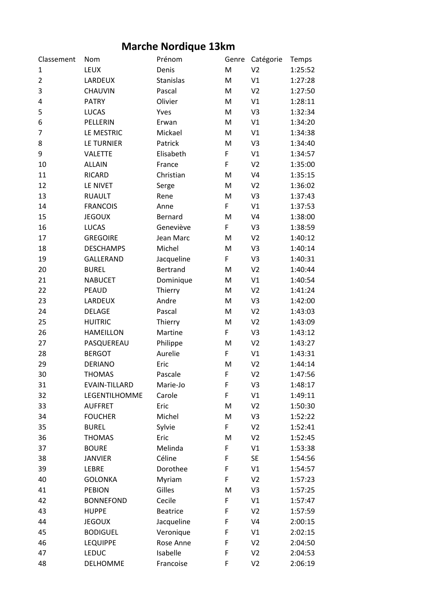## **Marche Nordique 13km**

| Classement     | Nom                  | Prénom          | Genre | Catégorie      | Temps   |
|----------------|----------------------|-----------------|-------|----------------|---------|
| 1              | LEUX                 | Denis           | M     | V <sub>2</sub> | 1:25:52 |
| $\overline{2}$ | LARDEUX              | Stanislas       | M     | V1             | 1:27:28 |
| 3              | CHAUVIN              | Pascal          | M     | V <sub>2</sub> | 1:27:50 |
| 4              | <b>PATRY</b>         | Olivier         | M     | V1             | 1:28:11 |
| 5              | <b>LUCAS</b>         | Yves            | M     | V3             | 1:32:34 |
| 6              | PELLERIN             | Erwan           | M     | V1             | 1:34:20 |
| 7              | LE MESTRIC           | Mickael         | M     | V1             | 1:34:38 |
| 8              | <b>LE TURNIER</b>    | Patrick         | M     | V3             | 1:34:40 |
| 9              | <b>VALETTE</b>       | Elisabeth       | F     | V1             | 1:34:57 |
| 10             | <b>ALLAIN</b>        | France          | F     | V <sub>2</sub> | 1:35:00 |
| 11             | <b>RICARD</b>        | Christian       | M     | V <sub>4</sub> | 1:35:15 |
| 12             | LE NIVET             | Serge           | M     | V <sub>2</sub> | 1:36:02 |
| 13             | <b>RUAULT</b>        | Rene            | M     | V3             | 1:37:43 |
| 14             | <b>FRANCOIS</b>      | Anne            | F     | V1             | 1:37:53 |
| 15             | <b>JEGOUX</b>        | Bernard         | M     | V <sub>4</sub> | 1:38:00 |
| 16             | <b>LUCAS</b>         | Geneviève       | F     | V3             | 1:38:59 |
| 17             | <b>GREGOIRE</b>      | Jean Marc       | M     | V <sub>2</sub> | 1:40:12 |
| 18             | <b>DESCHAMPS</b>     | Michel          | M     | V3             | 1:40:14 |
| 19             | <b>GALLERAND</b>     | Jacqueline      | F     | V3             | 1:40:31 |
| 20             | <b>BUREL</b>         | <b>Bertrand</b> | M     | V <sub>2</sub> | 1:40:44 |
| 21             | <b>NABUCET</b>       | Dominique       | M     | V1             | 1:40:54 |
| 22             | <b>PEAUD</b>         | Thierry         | M     | V <sub>2</sub> | 1:41:24 |
| 23             | LARDEUX              | Andre           | M     | V3             | 1:42:00 |
| 24             | <b>DELAGE</b>        | Pascal          | M     | V <sub>2</sub> | 1:43:03 |
| 25             | <b>HUITRIC</b>       | Thierry         | M     | V <sub>2</sub> | 1:43:09 |
| 26             | <b>HAMEILLON</b>     | Martine         | F     | V3             | 1:43:12 |
| 27             | PASQUEREAU           | Philippe        | M     | V <sub>2</sub> | 1:43:27 |
| 28             | <b>BERGOT</b>        | Aurelie         | F     | V1             | 1:43:31 |
| 29             | <b>DERIANO</b>       | Eric            | M     | V <sub>2</sub> | 1:44:14 |
| 30             | <b>THOMAS</b>        | Pascale         | F     | V <sub>2</sub> | 1:47:56 |
| 31             | <b>EVAIN-TILLARD</b> | Marie-Jo        | F     | V3             | 1:48:17 |
| 32             | LEGENTILHOMME        | Carole          | F     | V1             | 1:49:11 |
| 33             | <b>AUFFRET</b>       | Eric            | M     | V <sub>2</sub> | 1:50:30 |
| 34             | <b>FOUCHER</b>       | Michel          | M     | V3             | 1:52:22 |
| 35             | <b>BUREL</b>         | Sylvie          | F     | V <sub>2</sub> | 1:52:41 |
| 36             | <b>THOMAS</b>        | Eric            | M     | V <sub>2</sub> | 1:52:45 |
| 37             | <b>BOURE</b>         | Melinda         | F     | V1             | 1:53:38 |
| 38             | <b>JANVIER</b>       | Céline          | F     | <b>SE</b>      | 1:54:56 |
| 39             | LEBRE                | Dorothee        | F     | V1             | 1:54:57 |
| 40             | <b>GOLONKA</b>       | Myriam          | F     | V <sub>2</sub> | 1:57:23 |
| 41             | <b>PEBION</b>        | Gilles          | M     | V3             | 1:57:25 |
| 42             | <b>BONNEFOND</b>     | Cecile          | F     | V1             | 1:57:47 |
| 43             | <b>HUPPE</b>         | <b>Beatrice</b> | F     | V <sub>2</sub> | 1:57:59 |
| 44             | <b>JEGOUX</b>        | Jacqueline      | F     | V <sub>4</sub> | 2:00:15 |
| 45             | <b>BODIGUEL</b>      | Veronique       | F     | V1             | 2:02:15 |
| 46             | <b>LEQUIPPE</b>      | Rose Anne       | F     | V <sub>2</sub> | 2:04:50 |
| 47             | <b>LEDUC</b>         | Isabelle        | F     | V <sub>2</sub> | 2:04:53 |
| 48             | DELHOMME             | Francoise       | F     | V <sub>2</sub> | 2:06:19 |